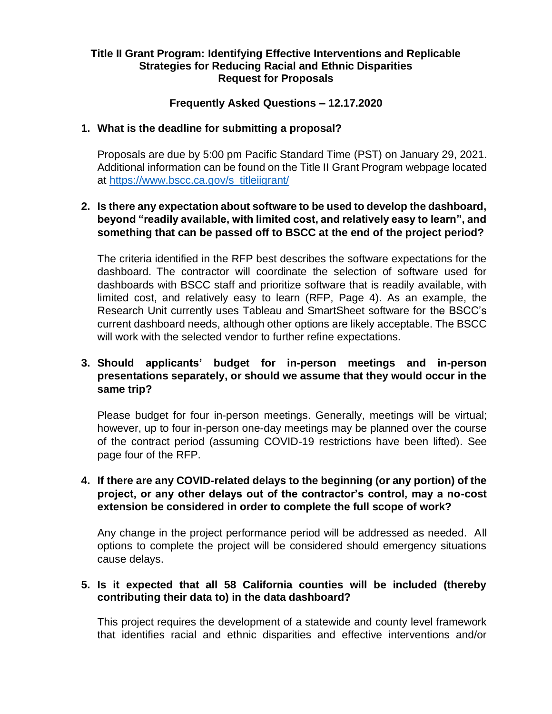## **Title II Grant Program: Identifying Effective Interventions and Replicable Strategies for Reducing Racial and Ethnic Disparities Request for Proposals**

# **Frequently Asked Questions – 12.17.2020**

#### **1. What is the deadline for submitting a proposal?**

Proposals are due by 5:00 pm Pacific Standard Time (PST) on January 29, 2021. Additional information can be found on the Title II Grant Program webpage located at [https://www.bscc.ca.gov/s\\_titleiigrant/](https://www.bscc.ca.gov/s_titleiigrant/) 

# **2. Is there any expectation about software to be used to develop the dashboard, beyond "readily available, with limited cost, and relatively easy to learn", and something that can be passed off to BSCC at the end of the project period?**

The criteria identified in the RFP best describes the software expectations for the dashboard. The contractor will coordinate the selection of software used for dashboards with BSCC staff and prioritize software that is readily available, with limited cost, and relatively easy to learn (RFP, Page 4). As an example, the Research Unit currently uses Tableau and SmartSheet software for the BSCC's current dashboard needs, although other options are likely acceptable. The BSCC will work with the selected vendor to further refine expectations.

# **3. Should applicants' budget for in-person meetings and in-person presentations separately, or should we assume that they would occur in the same trip?**

Please budget for four in-person meetings. Generally, meetings will be virtual; however, up to four in-person one-day meetings may be planned over the course of the contract period (assuming COVID-19 restrictions have been lifted). See page four of the RFP.

# **4. If there are any COVID-related delays to the beginning (or any portion) of the project, or any other delays out of the contractor's control, may a no-cost extension be considered in order to complete the full scope of work?**

Any change in the project performance period will be addressed as needed. All options to complete the project will be considered should emergency situations cause delays.

## **5. Is it expected that all 58 California counties will be included (thereby contributing their data to) in the data dashboard?**

This project requires the development of a statewide and county level framework that identifies racial and ethnic disparities and effective interventions and/or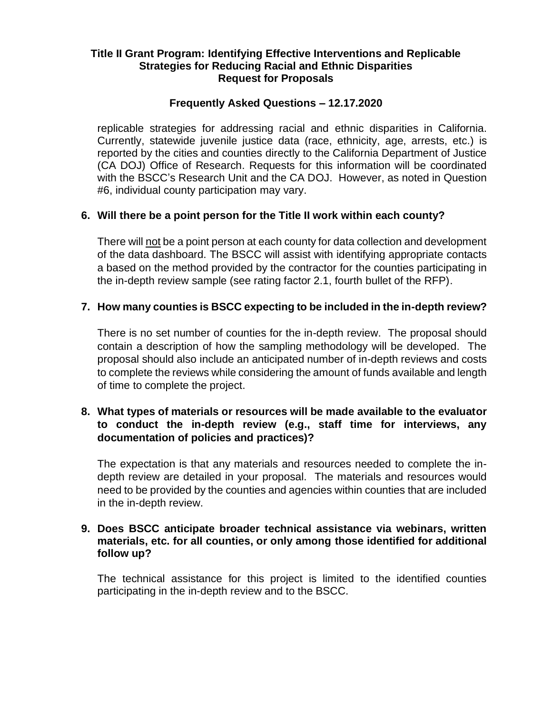## **Title II Grant Program: Identifying Effective Interventions and Replicable Strategies for Reducing Racial and Ethnic Disparities Request for Proposals**

## **Frequently Asked Questions – 12.17.2020**

replicable strategies for addressing racial and ethnic disparities in California. Currently, statewide juvenile justice data (race, ethnicity, age, arrests, etc.) is reported by the cities and counties directly to the California Department of Justice (CA DOJ) Office of Research. Requests for this information will be coordinated with the BSCC's Research Unit and the CA DOJ. However, as noted in Question #6, individual county participation may vary.

# **6. Will there be a point person for the Title II work within each county?**

There will not be a point person at each county for data collection and development of the data dashboard. The BSCC will assist with identifying appropriate contacts a based on the method provided by the contractor for the counties participating in the in-depth review sample (see rating factor 2.1, fourth bullet of the RFP).

# **7. How many counties is BSCC expecting to be included in the in-depth review?**

There is no set number of counties for the in-depth review. The proposal should contain a description of how the sampling methodology will be developed. The proposal should also include an anticipated number of in-depth reviews and costs to complete the reviews while considering the amount of funds available and length of time to complete the project.

# **8. What types of materials or resources will be made available to the evaluator to conduct the in-depth review (e.g., staff time for interviews, any documentation of policies and practices)?**

The expectation is that any materials and resources needed to complete the indepth review are detailed in your proposal. The materials and resources would need to be provided by the counties and agencies within counties that are included in the in-depth review.

## **9. Does BSCC anticipate broader technical assistance via webinars, written materials, etc. for all counties, or only among those identified for additional follow up?**

The technical assistance for this project is limited to the identified counties participating in the in-depth review and to the BSCC.